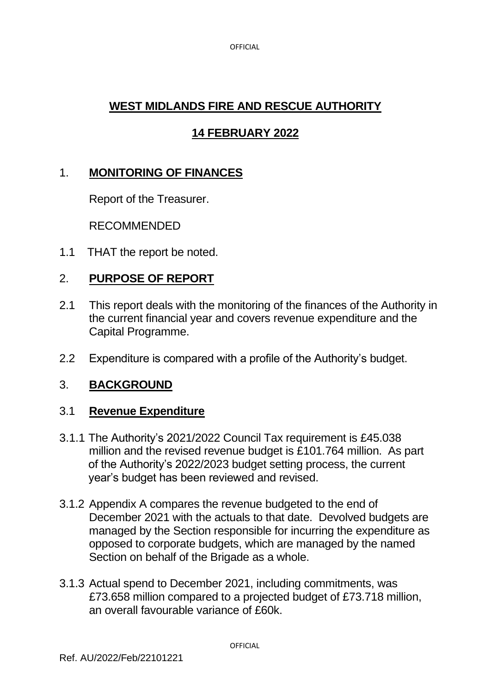**OFFICIAL** 

# **WEST MIDLANDS FIRE AND RESCUE AUTHORITY**

# **14 FEBRUARY 2022**

# 1. **MONITORING OF FINANCES**

Report of the Treasurer.

RECOMMENDED

1.1 THAT the report be noted.

## 2. **PURPOSE OF REPORT**

- 2.1 This report deals with the monitoring of the finances of the Authority in the current financial year and covers revenue expenditure and the Capital Programme.
- 2.2 Expenditure is compared with a profile of the Authority's budget.

## 3. **BACKGROUND**

## 3.1 **Revenue Expenditure**

- 3.1.1 The Authority's 2021/2022 Council Tax requirement is £45.038 million and the revised revenue budget is £101.764 million. As part of the Authority's 2022/2023 budget setting process, the current year's budget has been reviewed and revised.
- 3.1.2 Appendix A compares the revenue budgeted to the end of December 2021 with the actuals to that date. Devolved budgets are managed by the Section responsible for incurring the expenditure as opposed to corporate budgets, which are managed by the named Section on behalf of the Brigade as a whole.
- 3.1.3 Actual spend to December 2021, including commitments, was £73.658 million compared to a projected budget of £73.718 million, an overall favourable variance of £60k.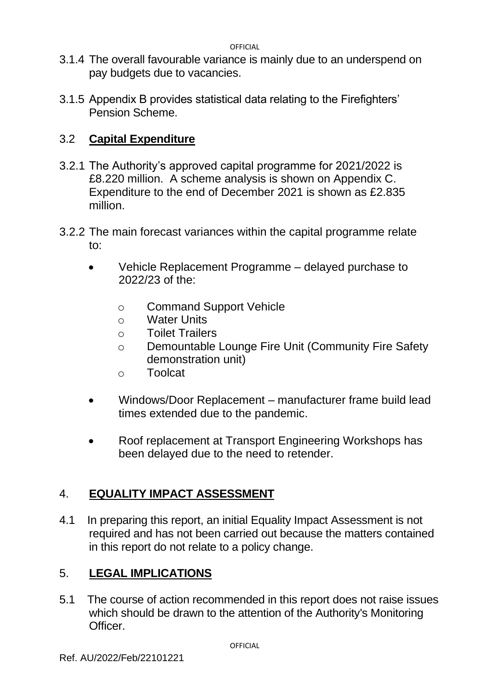**OFFICIAL** 

- 3.1.4 The overall favourable variance is mainly due to an underspend on pay budgets due to vacancies.
- 3.1.5 Appendix B provides statistical data relating to the Firefighters' Pension Scheme.

# 3.2 **Capital Expenditure**

- 3.2.1 The Authority's approved capital programme for 2021/2022 is £8.220 million. A scheme analysis is shown on Appendix C. Expenditure to the end of December 2021 is shown as £2.835 million.
- 3.2.2 The main forecast variances within the capital programme relate to:
	- Vehicle Replacement Programme delayed purchase to 2022/23 of the:
		- o Command Support Vehicle
		- o Water Units
		- o Toilet Trailers
		- o Demountable Lounge Fire Unit (Community Fire Safety demonstration unit)
		- o Toolcat
	- Windows/Door Replacement manufacturer frame build lead times extended due to the pandemic.
	- Roof replacement at Transport Engineering Workshops has been delayed due to the need to retender.

# 4. **EQUALITY IMPACT ASSESSMENT**

4.1 In preparing this report, an initial Equality Impact Assessment is not required and has not been carried out because the matters contained in this report do not relate to a policy change.

# 5. **LEGAL IMPLICATIONS**

5.1 The course of action recommended in this report does not raise issues which should be drawn to the attention of the Authority's Monitoring Officer.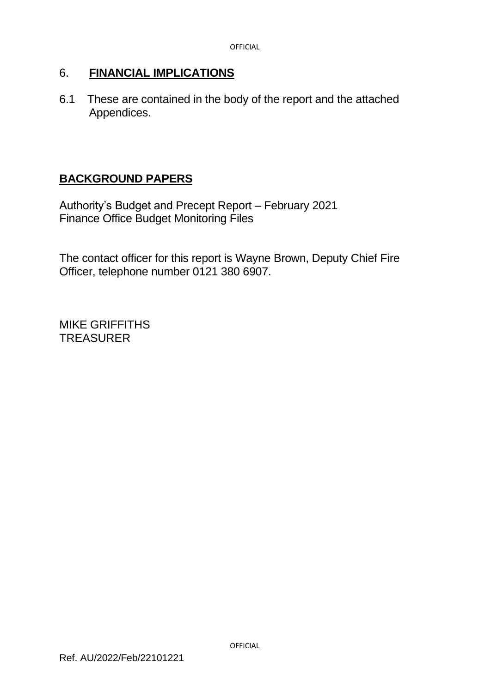## 6. **FINANCIAL IMPLICATIONS**

6.1 These are contained in the body of the report and the attached Appendices.

## **BACKGROUND PAPERS**

Authority's Budget and Precept Report – February 2021 Finance Office Budget Monitoring Files

The contact officer for this report is Wayne Brown, Deputy Chief Fire Officer, telephone number 0121 380 6907.

MIKE GRIFFITHS **TREASURER**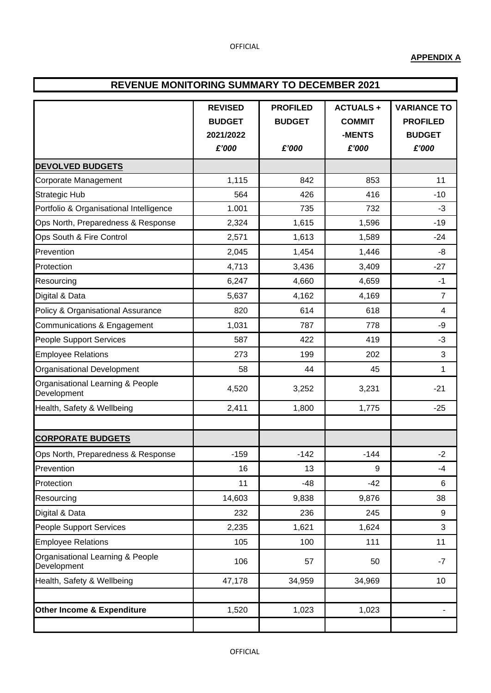### **APPENDIX A**

## **REVENUE MONITORING SUMMARY TO DECEMBER 2021**

|                                                 | <b>REVISED</b>             | <b>PROFILED</b> | <b>ACTUALS+</b>         | <b>VARIANCE TO</b>               |  |
|-------------------------------------------------|----------------------------|-----------------|-------------------------|----------------------------------|--|
|                                                 | <b>BUDGET</b><br>2021/2022 | <b>BUDGET</b>   | <b>COMMIT</b><br>-MENTS | <b>PROFILED</b><br><b>BUDGET</b> |  |
|                                                 | £'000                      | £'000           | £'000                   | £'000                            |  |
| <b>DEVOLVED BUDGETS</b>                         |                            |                 |                         |                                  |  |
| Corporate Management                            | 1,115                      | 842             | 853                     | 11                               |  |
| <b>Strategic Hub</b>                            | 564                        | 426             | 416                     | $-10$                            |  |
| Portfolio & Organisational Intelligence         | 1.001                      | 735             | 732                     | $-3$                             |  |
| Ops North, Preparedness & Response              | 2,324                      | 1,615           | 1,596                   | $-19$                            |  |
| Ops South & Fire Control                        | 2,571                      | 1,613           | 1,589                   | $-24$                            |  |
| Prevention                                      | 2,045                      | 1,454           | 1,446                   | -8                               |  |
| Protection                                      | 4,713                      | 3,436           | 3,409                   | $-27$                            |  |
| Resourcing                                      | 6,247                      | 4,660           | 4,659                   | $-1$                             |  |
| Digital & Data                                  | 5,637                      | 4,162           | 4,169                   | $\overline{7}$                   |  |
| Policy & Organisational Assurance               | 820                        | 614             | 618                     | $\overline{\mathbf{4}}$          |  |
| Communications & Engagement                     | 1,031                      | 787             | 778                     | -9                               |  |
| People Support Services                         | 587                        | 422             | 419                     | $-3$                             |  |
| <b>Employee Relations</b>                       | 273                        | 199             | 202                     | 3                                |  |
| Organisational Development                      | 58                         | 44              | 45                      | $\mathbf{1}$                     |  |
| Organisational Learning & People<br>Development | 4,520                      | 3,252           | 3,231                   | $-21$                            |  |
| Health, Safety & Wellbeing                      | 2,411                      | 1,800           | 1,775                   | $-25$                            |  |
|                                                 |                            |                 |                         |                                  |  |
| <b>CORPORATE BUDGETS</b>                        |                            |                 |                         |                                  |  |
| Ops North, Preparedness & Response              | $-159$                     | $-142$          | $-144$                  | $-2$                             |  |
| Prevention                                      | 16                         | 13              | 9                       | -4                               |  |
| Protection                                      | 11                         | $-48$           | $-42$                   | 6                                |  |
| Resourcing                                      | 14,603                     | 9,838           | 9,876                   | 38                               |  |
| Digital & Data                                  | 232                        | 236             | 245                     | 9                                |  |
| <b>People Support Services</b>                  | 2,235                      | 1,621           | 1,624                   | 3                                |  |
| <b>Employee Relations</b>                       | 105                        | 100             | 111                     | 11                               |  |
| Organisational Learning & People<br>Development | 106                        | 57              | 50                      | $-7$                             |  |
| Health, Safety & Wellbeing                      | 47,178                     | 34,959          | 34,969                  | 10                               |  |
|                                                 |                            |                 |                         |                                  |  |
| Other Income & Expenditure                      | 1,520                      | 1,023           | 1,023                   | ٠                                |  |
|                                                 |                            |                 |                         |                                  |  |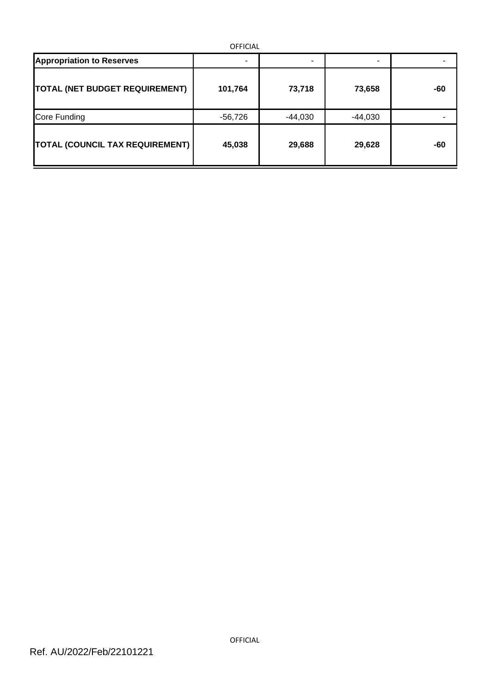| <b>OFFICIAL</b>                        |           |           |           |     |  |  |  |  |
|----------------------------------------|-----------|-----------|-----------|-----|--|--|--|--|
| <b>Appropriation to Reserves</b>       | ۰         | -         |           |     |  |  |  |  |
| <b>TOTAL (NET BUDGET REQUIREMENT)</b>  | 101,764   | 73,718    | 73,658    | -60 |  |  |  |  |
| Core Funding                           | $-56,726$ | $-44,030$ | $-44,030$ |     |  |  |  |  |
| <b>TOTAL (COUNCIL TAX REQUIREMENT)</b> | 45,038    | 29,688    | 29,628    | -60 |  |  |  |  |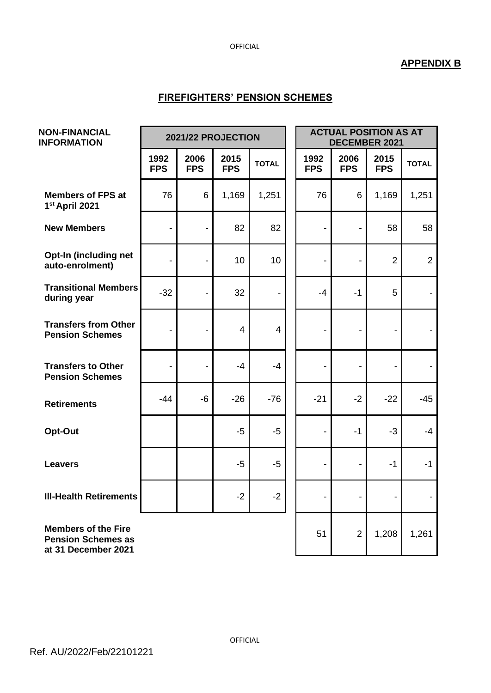#### OFFICIAL

## **APPENDIX B**

## **FIREFIGHTERS' PENSION SCHEMES**

| <b>NON-FINANCIAL</b><br><b>INFORMATION</b>                                     |                              | 2021/22 PROJECTION           |                    |              |  | <b>ACTUAL POSITION AS AT</b><br>DECEMBER 2021 |                          |                          |                |
|--------------------------------------------------------------------------------|------------------------------|------------------------------|--------------------|--------------|--|-----------------------------------------------|--------------------------|--------------------------|----------------|
|                                                                                | 1992<br><b>FPS</b>           | 2006<br><b>FPS</b>           | 2015<br><b>FPS</b> | <b>TOTAL</b> |  | 1992<br><b>FPS</b>                            | 2006<br><b>FPS</b>       | 2015<br><b>FPS</b>       | <b>TOTAL</b>   |
| <b>Members of FPS at</b><br>1st April 2021                                     | 76                           | 6                            | 1,169              | 1,251        |  | 76                                            | 6                        | 1,169                    | 1,251          |
| <b>New Members</b>                                                             | $\overline{\phantom{0}}$     | $\blacksquare$               | 82                 | 82           |  |                                               | $\blacksquare$           | 58                       | 58             |
| Opt-In (including net<br>auto-enrolment)                                       | $\qquad \qquad \blacksquare$ | $\overline{\phantom{a}}$     | 10                 | 10           |  | $\overline{\phantom{a}}$                      | $\overline{\phantom{a}}$ | $\overline{2}$           | $\overline{2}$ |
| <b>Transitional Members</b><br>during year                                     | $-32$                        |                              | 32                 |              |  | $-4$                                          | $-1$                     | 5                        |                |
| <b>Transfers from Other</b><br><b>Pension Schemes</b>                          | $\qquad \qquad \blacksquare$ | $\blacksquare$               | $\overline{4}$     | 4            |  | $\overline{\phantom{a}}$                      | $\overline{\phantom{a}}$ | $\overline{\phantom{a}}$ |                |
| <b>Transfers to Other</b><br><b>Pension Schemes</b>                            | $\qquad \qquad \blacksquare$ | $\qquad \qquad \blacksquare$ | $-4$               | $-4$         |  | $\overline{\phantom{a}}$                      | $\overline{\phantom{a}}$ | $\overline{\phantom{0}}$ |                |
| <b>Retirements</b>                                                             | $-44$                        | $-6$                         | $-26$              | $-76$        |  | $-21$                                         | $-2$                     | $-22$                    | $-45$          |
| Opt-Out                                                                        |                              |                              | $-5$               | $-5$         |  |                                               | $-1$                     | $-3$                     | $-4$           |
| <b>Leavers</b>                                                                 |                              |                              | $-5$               | $-5$         |  | $\overline{\phantom{a}}$                      | $\overline{\phantom{a}}$ | $-1$                     | $-1$           |
| <b>III-Health Retirements</b>                                                  |                              |                              | $-2$               | $-2$         |  |                                               |                          |                          |                |
| <b>Members of the Fire</b><br><b>Pension Schemes as</b><br>at 31 December 2021 |                              |                              |                    |              |  | 51                                            | $\overline{2}$           | 1,208                    | 1,261          |

OFFICIAL